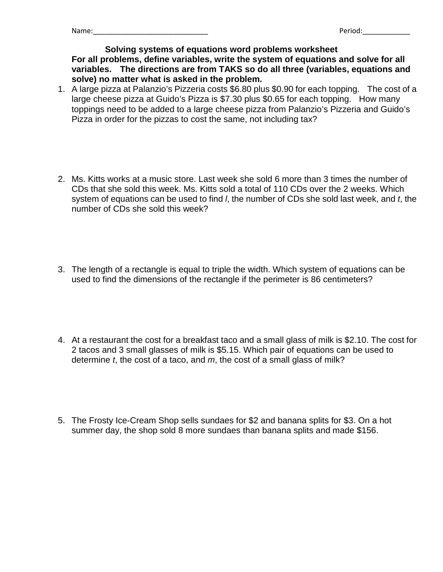## **Solving systems of equations word problems worksheet**

**For all problems, define variables, write the system of equations and solve for all variables. The directions are from TAKS so do all three (variables, equations and solve) no matter what is asked in the problem.**

- 1. A large pizza at Palanzio's Pizzeria costs \$6.80 plus \$0.90 for each topping. The cost of a large cheese pizza at Guido's Pizza is \$7.30 plus \$0.65 for each topping. How many toppings need to be added to a large cheese pizza from Palanzio's Pizzeria and Guido's Pizza in order for the pizzas to cost the same, not including tax?
- 2. Ms. Kitts works at a music store. Last week she sold 6 more than 3 times the number of CDs that she sold this week. Ms. Kitts sold a total of 110 CDs over the 2 weeks. Which system of equations can be used to find *l*, the number of CDs she sold last week, and *t*, the number of CDs she sold this week?
- 3. The length of a rectangle is equal to triple the width. Which system of equations can be used to find the dimensions of the rectangle if the perimeter is 86 centimeters?
- 4. At a restaurant the cost for a breakfast taco and a small glass of milk is \$2.10. The cost for 2 tacos and 3 small glasses of milk is \$5.15. Which pair of equations can be used to determine *t*, the cost of a taco, and *m*, the cost of a small glass of milk?
- 5. The Frosty Ice-Cream Shop sells sundaes for \$2 and banana splits for \$3. On a hot summer day, the shop sold 8 more sundaes than banana splits and made \$156.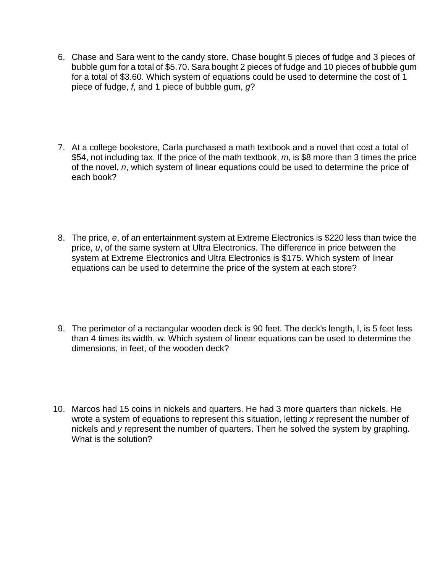- 6. Chase and Sara went to the candy store. Chase bought 5 pieces of fudge and 3 pieces of bubble gum for a total of \$5.70. Sara bought 2 pieces of fudge and 10 pieces of bubble gum for a total of \$3.60. Which system of equations could be used to determine the cost of 1 piece of fudge, *f*, and 1 piece of bubble gum, *g*?
- 7. At a college bookstore, Carla purchased a math textbook and a novel that cost a total of \$54, not including tax. If the price of the math textbook, *m*, is \$8 more than 3 times the price of the novel, *n*, which system of linear equations could be used to determine the price of each book?
- 8. The price, *e*, of an entertainment system at Extreme Electronics is \$220 less than twice the price, *u*, of the same system at Ultra Electronics. The difference in price between the system at Extreme Electronics and Ultra Electronics is \$175. Which system of linear equations can be used to determine the price of the system at each store?
- 9. The perimeter of a rectangular wooden deck is 90 feet. The deck's length, l, is 5 feet less than 4 times its width, w. Which system of linear equations can be used to determine the dimensions, in feet, of the wooden deck?
- 10. Marcos had 15 coins in nickels and quarters. He had 3 more quarters than nickels. He wrote a system of equations to represent this situation, letting *x* represent the number of nickels and *y* represent the number of quarters. Then he solved the system by graphing. What is the solution?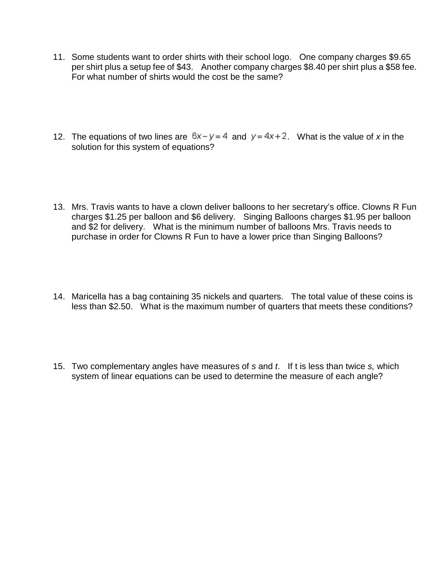- 11. Some students want to order shirts with their school logo. One company charges \$9.65 per shirt plus a setup fee of \$43. Another company charges \$8.40 per shirt plus a \$58 fee. For what number of shirts would the cost be the same?
- 12. The equations of two lines are  $6x y = 4$  and  $y = 4x + 2$ . What is the value of *x* in the solution for this system of equations?
- 13. Mrs. Travis wants to have a clown deliver balloons to her secretary's office. Clowns R Fun charges \$1.25 per balloon and \$6 delivery. Singing Balloons charges \$1.95 per balloon and \$2 for delivery. What is the minimum number of balloons Mrs. Travis needs to purchase in order for Clowns R Fun to have a lower price than Singing Balloons?
- 14. Maricella has a bag containing 35 nickels and quarters. The total value of these coins is less than \$2.50. What is the maximum number of quarters that meets these conditions?
- 15. Two complementary angles have measures of *s* and *t*. If t is less than twice *s,* which system of linear equations can be used to determine the measure of each angle?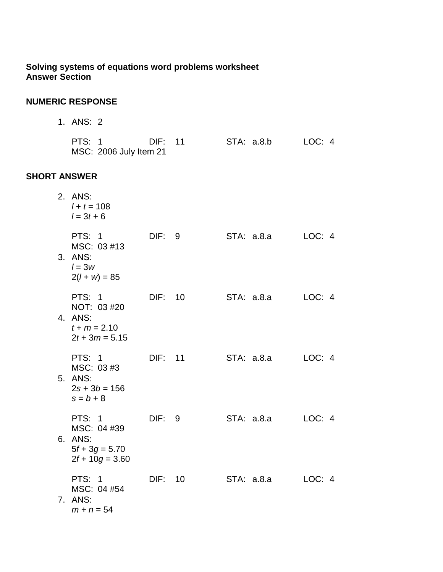## **Solving systems of equations word problems worksheet Answer Section**

## **NUMERIC RESPONSE**

| ANS: |  |
|------|--|
|      |  |

| PTS: 1 |                        | DIF: 11 | STA: a.8.b | LOC: 4 |
|--------|------------------------|---------|------------|--------|
|        | MSC: 2006 July Item 21 |         |            |        |

## **SHORT ANSWER**

| 2. ANS:<br>$1 + t = 108$<br>$l = 3t + 6$                                         |                |            |        |
|----------------------------------------------------------------------------------|----------------|------------|--------|
| <b>PTS: 1</b><br>MSC: 03 #13<br>3. ANS:<br>$l = 3w$<br>$2(l + w) = 85$           | DIF: 9         | STA: a.8.a | LOC: 4 |
| PTS: 1<br>NOT: 03 #20<br>4. ANS:<br>$t + m = 2.10$<br>$2t + 3m = 5.15$           | DIF: 10        | STA: a.8.a | LOC: 4 |
| <b>PTS: 1</b><br>MSC: 03 #3<br>5. ANS:<br>$2s + 3b = 156$<br>$s = b + 8$         | DIF: 11        | STA: a.8.a | LOC: 4 |
| <b>PTS: 1</b><br>MSC: 04 #39<br>6. ANS:<br>$5f + 3g = 5.70$<br>$2f + 10g = 3.60$ | DIF: 9         | STA: a.8.a | LOC: 4 |
| <b>PTS: 1</b><br>MSC: 04 #54<br>7. ANS:<br>$m + n = 54$                          | <b>DIF: 10</b> | STA: a.8.a | LOC: 4 |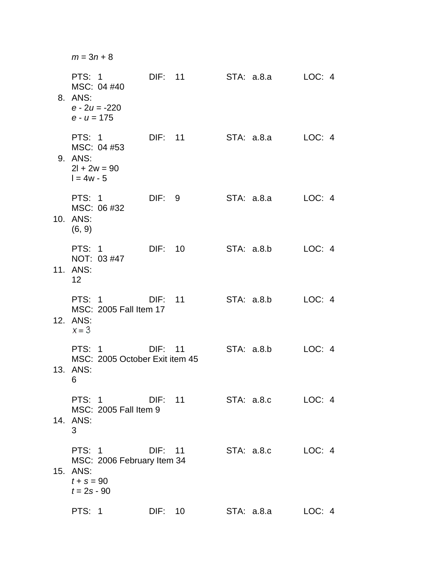| $m = 3n + 8$                                                                      |         |                    |                                  |        |  |
|-----------------------------------------------------------------------------------|---------|--------------------|----------------------------------|--------|--|
| <b>PTS: 1</b><br>MSC: 04 #40<br>8. ANS:<br>$e - 2u = -220$                        |         |                    | DIF: 11 STA: a.8.a LOC: 4        |        |  |
| $e - u = 175$                                                                     |         |                    |                                  |        |  |
| PTS: 1<br>MSC: 04 #53<br>9. ANS:<br>$2l + 2w = 90$<br>$I = 4w - 5$                |         |                    | DIF: 11 STA: a.8.a LOC: 4        |        |  |
| <b>PTS: 1</b><br>MSC: 06 #32<br>10. ANS:<br>(6, 9)                                | DIF: 9  |                    | STA: a.8.a             LOC: 4    |        |  |
| <b>PTS: 1</b><br>NOT: 03 #47<br>11. ANS:<br>12                                    | DIF: 10 |                    | STA: a.8.b                       | LOC: 4 |  |
| <b>PTS: 1</b><br>MSC: 2005 Fall Item 17<br>12. ANS:<br>$x = 3$                    | DIF: 11 |                    | STA: a.8.b                       | LOC: 4 |  |
| PTS: 1<br>MSC: 2005 October Exit item 45<br>13. ANS:<br>6                         |         | DIF: 11            | STA: a.8.b                       | LOC: 4 |  |
| MSC: 2005 Fall Item 9<br>14. ANS:<br>3                                            |         |                    | PTS: 1 DIF: 11 STA: a.8.c LOC: 4 |        |  |
| PTS: 1<br>MSC: 2006 February Item 34<br>15. ANS:<br>$t + s = 90$<br>$t = 2s - 90$ |         | DIF: 11            | STA: a.8.c LOC: 4                |        |  |
| <b>PTS: 1</b>                                                                     |         | DIF: 10 STA: a.8.a |                                  | LOC: 4 |  |